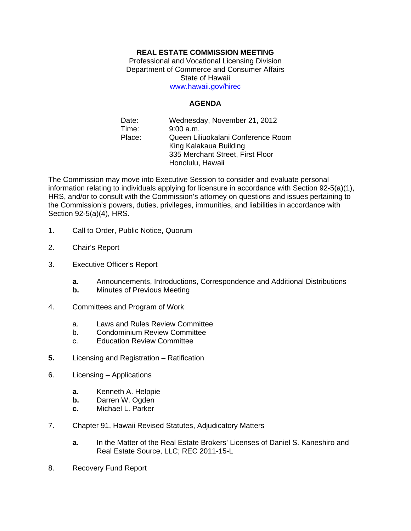## **REAL ESTATE COMMISSION MEETING**

Professional and Vocational Licensing Division Department of Commerce and Consumer Affairs State of Hawaii www.hawaii.gov/hirec

**AGENDA** 

Date: Wednesday, November 21, 2012 Time: 9:00 a.m. Place: Queen Liliuokalani Conference Room King Kalakaua Building 335 Merchant Street, First Floor Honolulu, Hawaii

The Commission may move into Executive Session to consider and evaluate personal information relating to individuals applying for licensure in accordance with Section 92-5(a)(1), HRS, and/or to consult with the Commission's attorney on questions and issues pertaining to the Commission's powers, duties, privileges, immunities, and liabilities in accordance with Section 92-5(a)(4), HRS.

- 1. Call to Order, Public Notice, Quorum
- 2. Chair's Report
- 3. Executive Officer's Report
	- **a**. Announcements, Introductions, Correspondence and Additional Distributions
	- **b.** Minutes of Previous Meeting
- 4. Committees and Program of Work
	- a. Laws and Rules Review Committee
	- b. Condominium Review Committee
	- c. Education Review Committee
- **5.** Licensing and Registration Ratification
- 6. Licensing Applications
	- **a.** Kenneth A. Helppie
	- **b.** Darren W. Ogden
	- **c.** Michael L. Parker
- 7. Chapter 91, Hawaii Revised Statutes, Adjudicatory Matters
	- **a**. In the Matter of the Real Estate Brokers' Licenses of Daniel S. Kaneshiro and Real Estate Source, LLC; REC 2011-15-L
- 8. Recovery Fund Report